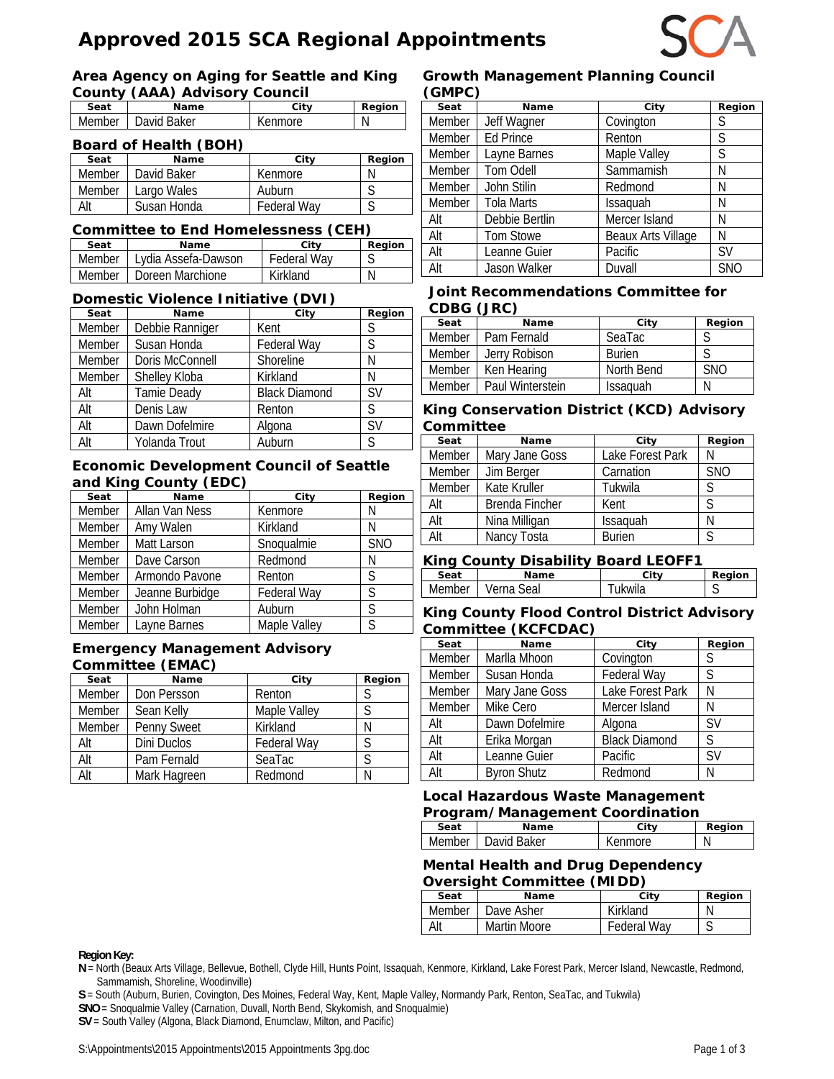# **Approved 2015 SCA Regional Appointments**



#### **Area Agency on Aging for Seattle and King County (AAA) Advisory Council**

| <b>OUGHTY (AAA) AGVISOLY OUGHUIL</b> |                      |         |        |
|--------------------------------------|----------------------|---------|--------|
| Seat                                 | Name                 | City    | Region |
|                                      | Member   David Baker | Kenmore |        |

#### **Board of Health (BOH)**

| Seat   | Name        | City               | Region |
|--------|-------------|--------------------|--------|
| Member | David Baker | Kenmore            |        |
| Member | Largo Wales | Auburn             |        |
| Alt    | Susan Honda | <b>Federal Way</b> |        |

#### **Committee to End Homelessness (CEH)**

| Seat     | <b>Name</b>         | City               | Region |
|----------|---------------------|--------------------|--------|
| Member I | Lydia Assefa-Dawson | <b>Federal Wav</b> |        |
| Member I | Doreen Marchione    | Kirkland           |        |

#### **Domestic Violence Initiative (DVI)**

| Seat   | Name            | City                 | Region    |
|--------|-----------------|----------------------|-----------|
| Member | Debbie Ranniger | Kent                 | S         |
| Member | Susan Honda     | Federal Way          | S         |
| Member | Doris McConnell | Shoreline            | Ν         |
| Member | Shelley Kloba   | Kirkland             | Ν         |
| Alt    | Tamie Deady     | <b>Black Diamond</b> | <b>SV</b> |
| Alt    | Denis Law       | Renton               | S         |
| Alt    | Dawn Dofelmire  | Algona               | <b>SV</b> |
| Alt    | Yolanda Trout   | Auburn               | S         |

#### **Economic Development Council of Seattle and King County (EDC)**

| Seat   | Name            | City         | Region     |
|--------|-----------------|--------------|------------|
| Member | Allan Van Ness  | Kenmore      | N          |
| Member | Amy Walen       | Kirkland     | N          |
| Member | Matt Larson     | Snoqualmie   | <b>SNO</b> |
| Member | Dave Carson     | Redmond      | Ν          |
| Member | Armondo Pavone  | Renton       | S          |
| Member | Jeanne Burbidge | Federal Way  | S          |
| Member | John Holman     | Auburn       | S          |
| Member | Layne Barnes    | Maple Valley | S          |

#### **Emergency Management Advisory Committee (EMAC)**

| Seat   | Name         | City               | Region |
|--------|--------------|--------------------|--------|
| Member | Don Persson  | Renton             | S      |
| Member | Sean Kelly   | Maple Valley       |        |
| Member | Penny Sweet  | Kirkland           | Ν      |
| Alt    | Dini Duclos  | <b>Federal Way</b> |        |
| Alt    | Pam Fernald  | SeaTac             |        |
| Alt    | Mark Hagreen | Redmond            |        |

#### **Growth Management Planning Council (GMPC)**

| $\sqrt{2}$ |                   |                    |            |
|------------|-------------------|--------------------|------------|
| Seat       | Name              | City               | Region     |
| Member     | Jeff Wagner       | Covington          | S          |
| Member     | <b>Ed Prince</b>  | Renton             | S          |
| Member     | Layne Barnes      | Maple Valley       | S          |
| Member     | <b>Tom Odell</b>  | Sammamish          | Ν          |
| Member     | John Stilin       | Redmond            | N          |
| Member     | <b>Tola Marts</b> | Issaquah           | N          |
| Alt        | Debbie Bertlin    | Mercer Island      | Ν          |
| Alt        | Tom Stowe         | Beaux Arts Village | Ν          |
| Alt        | Leanne Guier      | Pacific            | <b>SV</b>  |
| Alt        | Jason Walker      | Duvall             | <b>SNO</b> |

#### **Joint Recommendations Committee for CDBG (JRC)**

| Seat          | <b>Name</b>      | City            | Region     |
|---------------|------------------|-----------------|------------|
| <b>Member</b> | Pam Fernald      | SeaTac          |            |
| <b>Member</b> | Jerry Robison    | <b>Burien</b>   |            |
| Member        | Ken Hearing      | North Bend      | <b>SNO</b> |
| <b>Member</b> | Paul Winterstein | <b>Issaguah</b> |            |

#### **King Conservation District (KCD) Advisory Committee**

| Seat   | Name           | City             | Region       |
|--------|----------------|------------------|--------------|
| Member | Mary Jane Goss | Lake Forest Park |              |
| Member | Jim Berger     | Carnation        | <b>SNO</b>   |
| Member | Kate Kruller   | Tukwila          |              |
| Alt    | Brenda Fincher | Kent             | $\varsigma$  |
| Alt    | Nina Milligan  | Issaquah         |              |
| Alt    | Nancy Tosta    | <b>Burien</b>    | <sub>S</sub> |

#### **King County Disability Board LEOFF1**

| Name                    | Citv        | Region |
|-------------------------|-------------|--------|
| ادەخ<br>$V \cap \Gamma$ | 'wıla<br>ıĸ | u      |
|                         |             | $-$    |

#### **King County Flood Control District Advisory Committee (KCFCDAC)**

| Seat   | Name               | City                 | Region    |
|--------|--------------------|----------------------|-----------|
| Member | Marlla Mhoon       | Covington            |           |
| Member | Susan Honda        | Federal Way          | S         |
| Member | Mary Jane Goss     | Lake Forest Park     | N         |
| Member | Mike Cero          | Mercer Island        | Ν         |
| Alt    | Dawn Dofelmire     | Algona               | <b>SV</b> |
| Alt    | Erika Morgan       | <b>Black Diamond</b> | S         |
| Alt    | Leanne Guier       | Pacific              | <b>SV</b> |
| Alt    | <b>Byron Shutz</b> | Redmond              | N         |

## **Local Hazardous Waste Management**

| Program/Management Coordination |                      |         |        |
|---------------------------------|----------------------|---------|--------|
| Seat                            | Name                 | City    | Region |
|                                 | Member   David Baker | Kenmore |        |

## **Mental Health and Drug Dependency Oversight Committee (MIDD)**

| Seat   | Name         | City        | Region |
|--------|--------------|-------------|--------|
| Member | Dave Asher   | Kirkland    |        |
| Alt    | Martin Moore | Federal Way |        |

#### **Region Key:**

**N** = North (Beaux Arts Village, Bellevue, Bothell, Clyde Hill, Hunts Point, Issaquah, Kenmore, Kirkland, Lake Forest Park, Mercer Island, Newcastle, Redmond, Sammamish, Shoreline, Woodinville)

**S** = South (Auburn, Burien, Covington, Des Moines, Federal Way, Kent, Maple Valley, Normandy Park, Renton, SeaTac, and Tukwila)

**SNO** = Snoqualmie Valley (Carnation, Duvall, North Bend, Skykomish, and Snoqualmie)

**SV** = South Valley (Algona, Black Diamond, Enumclaw, Milton, and Pacific)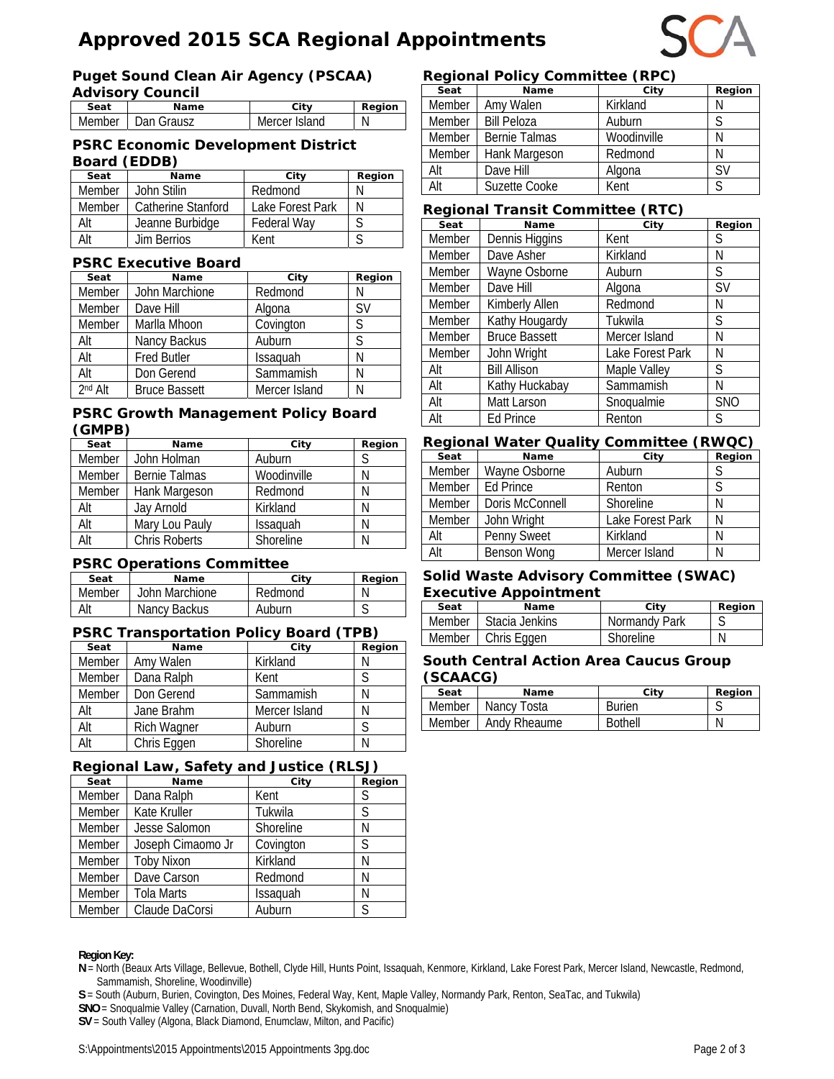# **Approved 2015 SCA Regional Appointments**

## **Puget Sound Clean Air Agency (PSCAA)**

| <b>Advisory Council</b> |                     |               |               |  |
|-------------------------|---------------------|---------------|---------------|--|
| Seat                    | Name                | Citv          | <b>Region</b> |  |
|                         | Member   Dan Grausz | Mercer Island |               |  |

#### **PSRC Economic Development District Board (EDDB)**

| Seat          | Name               | City               | Region |
|---------------|--------------------|--------------------|--------|
| Member        | John Stilin        | Redmond            |        |
| <b>Member</b> | Catherine Stanford | Lake Forest Park   |        |
| Alt           | Jeanne Burbidge    | <b>Federal Wav</b> |        |
| Alt           | Jim Berrios        | Kent               |        |

#### **PSRC Executive Board**

| Seat    | Name                 | City          | Region    |
|---------|----------------------|---------------|-----------|
| Member  | John Marchione       | Redmond       | N         |
| Member  | Dave Hill            | Algona        | <b>SV</b> |
| Member  | Marlla Mhoon         | Covington     | S         |
| Alt     | Nancy Backus         | Auburn        | S         |
| Alt     | <b>Fred Butler</b>   | Issaquah      | N         |
| Alt     | Don Gerend           | Sammamish     | Ν         |
| 2nd Alt | <b>Bruce Bassett</b> | Mercer Island | Ν         |

#### **PSRC Growth Management Policy Board (GMPB)**

| Seat   | Name                 | City        | Region |
|--------|----------------------|-------------|--------|
| Member | John Holman          | Auburn      |        |
| Member | <b>Bernie Talmas</b> | Woodinville | N      |
| Member | Hank Margeson        | Redmond     | N      |
| Alt    | Jay Arnold           | Kirkland    | N      |
| Alt    | Mary Lou Pauly       | Issaquah    | Ν      |
| Alt    | <b>Chris Roberts</b> | Shoreline   | Ν      |

#### **PSRC Operations Committee**

| Seat   | Name           | City    | <b>Region</b> |
|--------|----------------|---------|---------------|
| Member | John Marchione | Redmond |               |
| Alt    | Nancy Backus   | Auburn  |               |

## **PSRC Transportation Policy Board (TPB)**

| Seat   | Name        | City          | Region |
|--------|-------------|---------------|--------|
| Member | Amy Walen   | Kirkland      |        |
| Member | Dana Ralph  | Kent          |        |
| Member | Don Gerend  | Sammamish     |        |
| Alt    | Jane Brahm  | Mercer Island |        |
| Alt    | Rich Wagner | Auburn        |        |
| Alt    | Chris Eggen | Shoreline     |        |

#### **Regional Law, Safety and Justice (RLSJ)**

| - - - - |                   |           |        |  |
|---------|-------------------|-----------|--------|--|
| Seat    | Name              | City      | Region |  |
| Member  | Dana Ralph        | Kent      | S      |  |
| Member  | Kate Kruller      | Tukwila   | S      |  |
| Member  | Jesse Salomon     | Shoreline | N      |  |
| Member  | Joseph Cimaomo Jr | Covington | S      |  |
| Member  | <b>Toby Nixon</b> | Kirkland  | N      |  |
| Member  | Dave Carson       | Redmond   | N      |  |
| Member  | Tola Marts        | Issaquah  | Ν      |  |
| Member  | Claude DaCorsi    | Auburn    | S      |  |

#### **Region Key:**

**N** = North (Beaux Arts Village, Bellevue, Bothell, Clyde Hill, Hunts Point, Issaquah, Kenmore, Kirkland, Lake Forest Park, Mercer Island, Newcastle, Redmond, Sammamish, Shoreline, Woodinville)

**S** = South (Auburn, Burien, Covington, Des Moines, Federal Way, Kent, Maple Valley, Normandy Park, Renton, SeaTac, and Tukwila)

**SNO** = Snoqualmie Valley (Carnation, Duvall, North Bend, Skykomish, and Snoqualmie)

**SV** = South Valley (Algona, Black Diamond, Enumclaw, Milton, and Pacific)

#### **Regional Policy Committee (RPC)**

| Seat   | Name                 | City        | Region    |
|--------|----------------------|-------------|-----------|
| Member | Amy Walen            | Kirkland    | N         |
| Member | <b>Bill Peloza</b>   | Auburn      | S         |
| Member | <b>Bernie Talmas</b> | Woodinville | N         |
| Member | Hank Margeson        | Redmond     | Ν         |
| Alt    | Dave Hill            | Algona      | <b>SV</b> |
| Alt    | Suzette Cooke        | Kent        | S         |

## **Regional Transit Committee (RTC)**

| Seat          | Name                 | City             | Region     |
|---------------|----------------------|------------------|------------|
| Member        | Dennis Higgins       | Kent             | S          |
| Member        | Dave Asher           | Kirkland         | Ν          |
| <b>Member</b> | Wayne Osborne        | Auburn           | S          |
| <b>Member</b> | Dave Hill            | Algona           | <b>SV</b>  |
| Member        | Kimberly Allen       | Redmond          | Ν          |
| <b>Member</b> | Kathy Hougardy       | Tukwila          | S          |
| Member        | <b>Bruce Bassett</b> | Mercer Island    | Ν          |
| Member        | John Wright          | Lake Forest Park | Ν          |
| Alt           | <b>Bill Allison</b>  | Maple Valley     | S          |
| Alt           | Kathy Huckabay       | Sammamish        | Ν          |
| Alt           | Matt Larson          | Snoqualmie       | <b>SNO</b> |
| Alt           | Ed Prince            | Renton           | S          |

#### **Regional Water Quality Committee (RWQC)**

| Seat   | <b>Name</b>      | City             | Region |
|--------|------------------|------------------|--------|
| Member | Wayne Osborne    | Auburn           |        |
| Member | <b>Ed Prince</b> | Renton           | S      |
| Member | Doris McConnell  | Shoreline        |        |
| Member | John Wright      | Lake Forest Park |        |
| Alt    | Penny Sweet      | Kirkland         | N      |
|        | Benson Wong      | Mercer Island    |        |

#### **Solid Waste Advisory Committee (SWAC) Executive Appointment**

| Seat   | Name           | City             | Region |
|--------|----------------|------------------|--------|
| Member | Stacia Jenkins | Normandy Park    |        |
| Member | Chris Eggen    | <b>Shoreline</b> |        |

#### **South Central Action Area Caucus Group (SCAACG)**

| Seat   | Name         | Citv           | Region |
|--------|--------------|----------------|--------|
| Member | Nancy Tosta  | <b>Burien</b>  | ◡      |
| Member | Andy Rheaume | <b>Bothell</b> | N      |